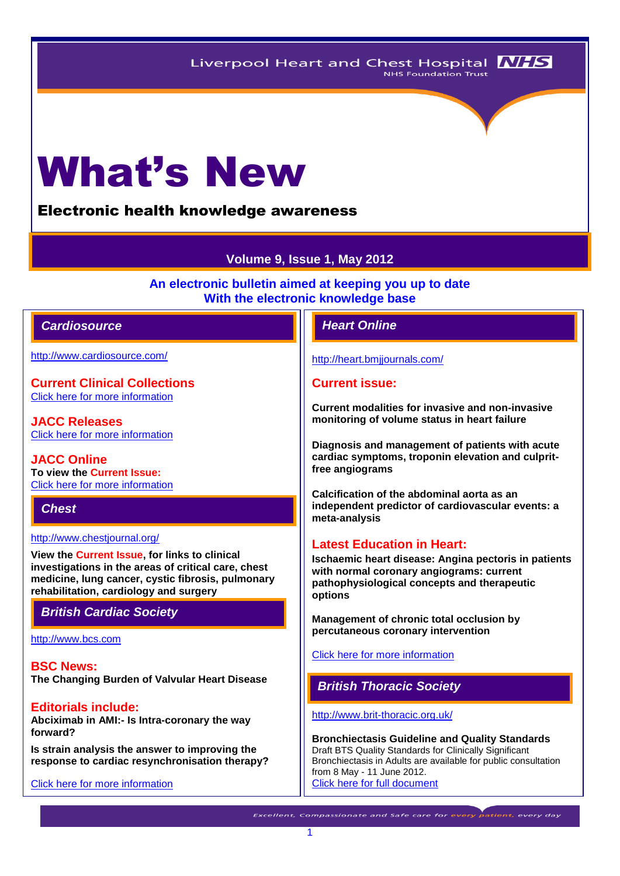# What's New

Electronic health knowledge awareness

# **Volume 9, Issue 1, May 2012**

**An electronic bulletin aimed at keeping you up to date With the electronic knowledge base**

## *Cardiosource Heart Online*

<http://www.cardiosource.com/>

**Current Clinical Collections** [Click here for more information](http://www.cardiosource.org/science-and-quality/clinical-collections.aspx)

**JACC Releases** [Click here for more information](http://www.cardiosource.org/news-media/media-center/jacc-releases.aspx)

**JACC Online To view the Current Issue:** [Click here for more information](http://content.onlinejacc.org/current.dtl)

*Chest* 

<http://www.chestjournal.org/>

**View the Current Issue, for links to clinical investigations in the areas of critical care, chest medicine, lung cancer, cystic fibrosis, pulmonary rehabilitation, cardiology and surgery**

# *British Cardiac Society*

[http://www.bcs.com](http://www.bcs.com/)

**BSC News: The Changing Burden of Valvular Heart Disease**

**Editorials include: Abciximab in AMI:- Is Intra-coronary the way forward?**

**Is strain analysis the answer to improving the response to cardiac resynchronisation therapy?**

[Click here for more information](http://www.bcs.com/editorial/editorial.asp)

<http://heart.bmjjournals.com/>

#### **Current issue:**

**Current modalities for invasive and non-invasive monitoring of volume status in heart failure**

**Diagnosis and management of patients with acute cardiac symptoms, troponin elevation and culpritfree angiograms**

**Calcification of the abdominal aorta as an independent predictor of cardiovascular events: a meta-analysis**

#### **Latest Education in Heart:**

**Ischaemic heart disease: Angina pectoris in patients with normal coronary angiograms: current pathophysiological concepts and therapeutic options**

**Management of chronic total occlusion by percutaneous coronary intervention**

[Click here for more information](http://heart.bmj.com/site/about/education.xhtml) 

# *British Thoracic Society*

<http://www.brit-thoracic.org.uk/>

**Bronchiectasis Guideline and Quality Standards**  Draft BTS Quality Standards for Clinically Significant Bronchiectasis in Adults are available for public consultation from 8 May - 11 June 2012. [Click here for full document](http://www.brit-thoracic.org.uk/Portals/0/Guidelines/Bronchiectasis/BTS_Bronchiectiasis_Quality_Standards%20for%20consultation%2026%20April%202012.pdf)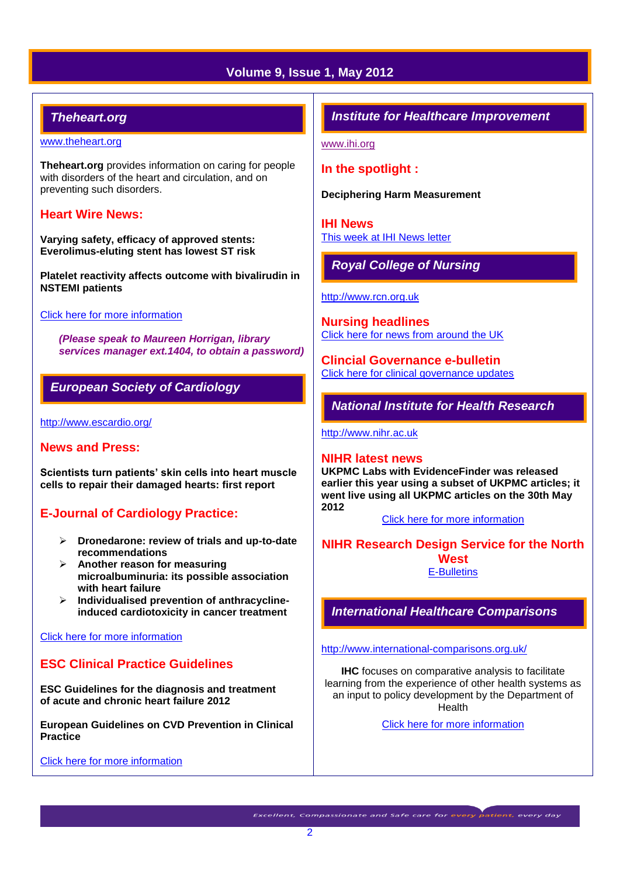# **Volume 9, Issue 1, May 2012**

# *Theheart.org*

#### [www.theheart.org](http://www.theheart.org/)

**Theheart.org** provides information on caring for people with disorders of the heart and circulation, and on preventing such disorders.

### **Heart Wire News:**

**Varying safety, efficacy of approved stents: Everolimus-eluting stent has lowest ST risk**

**Platelet reactivity affects outcome with bivalirudin in NSTEMI patients** 

#### [Click here for more information](http://www.theheart.org/section/heartwire.do)

*(Please speak to Maureen Horrigan, library services manager ext.1404, to obtain a password)*

# *European Society of Cardiology*

<http://www.escardio.org/>

#### **News and Press:**

**Scientists turn patients' skin cells into heart muscle cells to repair their damaged hearts: first report**

# **E-Journal of Cardiology Practice:**

- **Dronedarone: review of trials and up-to-date recommendations**
- **Another reason for measuring microalbuminuria: its possible association with heart failure**
- **Individualised prevention of anthracyclineinduced cardiotoxicity in cancer treatment**

#### [Click here for more information](http://www.escardio.org/communities/councils/ccp/e-journal/volume10/Pages/welcome.aspx)

# **ESC Clinical Practice Guidelines**

**ESC Guidelines for the diagnosis and treatment of acute and chronic heart failure 2012**

**European Guidelines on CVD Prevention in Clinical Practice**

[Click here for more information](http://www.escardio.org/guidelines-surveys/esc-guidelines/Pages/GuidelinesList.aspx)

# *Institute for Healthcare Improvement*

[www.ihi.org](http://www.ihi.org/)

# **In the spotlight :**

**Deciphering Harm Measurement**

**IHI News**  [This week at IHI News letter](http://www.ihi.org/Documents/ThisWeekatIHI.htm) 

*Royal College of Nursing*

[http://www.rcn.org.uk](http://www.rcn.org.uk/)

**Nursing headlines** [Click here for news from around the UK](http://www.rcn.org.uk/newsevents/news)

**Clincial Governance e-bulletin** [Click here for clinical governance updates](http://www.rcn.org.uk/development/practice/clinical_governance/quality_and_safety_e-bulletin/e-bulletin_archive)

# *National Institute for Health Research*

[http://www.nihr.ac.uk](http://www.nihr.ac.uk/)

#### **NIHR latest news**

**UKPMC Labs with EvidenceFinder was released earlier this year using a subset of UKPMC articles; it went live using all UKPMC articles on the 30th May 2012**

[Click here for more information](http://www.nihr.ac.uk/news/Pages/default.aspx)

**NIHR Research Design Service for the North West** [E-Bulletins](http://www.rds-nw.nihr.ac.uk/newstrainingevents/ebulletin.php)

*International Healthcare Comparisons*

<http://www.international-comparisons.org.uk/>

**IHC** focuses on comparative analysis to facilitate learning from the experience of other health systems as an input to policy development by the Department of **Health** 

[Click here for more information](http://www.international-comparisons.org.uk/publications/)